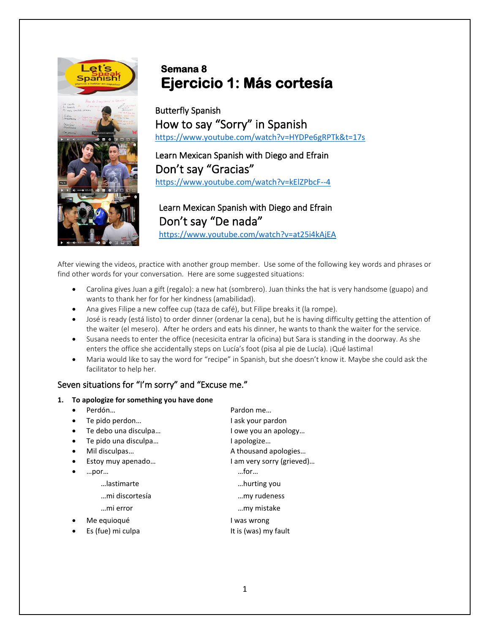

# **Semana 8 Ejercicio 1: Más cortesía**

Butterfly Spanish How to say "Sorry" in Spanish <https://www.youtube.com/watch?v=HYDPe6gRPTk&t=17s>

Learn Mexican Spanish with Diego and Efrain Don't say "Gracias" <https://www.youtube.com/watch?v=kElZPbcF--4>

## Learn Mexican Spanish with Diego and Efrain Don't say "De nada"

<https://www.youtube.com/watch?v=at25i4kAjEA>

After viewing the videos, practice with another group member. Use some of the following key words and phrases or find other words for your conversation. Here are some suggested situations:

- Carolina gives Juan a gift (regalo): a new hat (sombrero). Juan thinks the hat is very handsome (guapo) and wants to thank her for for her kindness (amabilidad).
- Ana gives Filipe a new coffee cup (taza de café), but Filipe breaks it (la rompe).
- José is ready (está listo) to order dinner (ordenar la cena), but he is having difficulty getting the attention of the waiter (el mesero). After he orders and eats his dinner, he wants to thank the waiter for the service.
- Susana needs to enter the office (necesicita entrar la oficina) but Sara is standing in the doorway. As she enters the office she accidentally steps on Lucía's foot (pisa al pie de Lucía). ¡Qué lastima!
- Maria would like to say the word for "recipe" in Spanish, but she doesn't know it. Maybe she could ask the facilitator to help her.

## Seven situations for "I'm sorry" and "Excuse me."

## **1. To apologize for something you have done**

|           | Perdón               | Pardon me                 |
|-----------|----------------------|---------------------------|
| $\bullet$ | Te pido perdon       | I ask your pardon         |
| $\bullet$ | Te debo una disculpa | I owe you an apology      |
| $\bullet$ | Te pido una disculpa | l apologize               |
| $\bullet$ | Mil disculpas        | A thousand apologies      |
| $\bullet$ | Estoy muy apenado    | I am very sorry (grieved) |
|           | por                  | $$ for $$                 |
|           | lastimarte           | hurting you               |
|           | mi discortesía       | my rudeness               |
|           | mi error             | my mistake                |
|           | Me equioqué          | l was wrong               |
|           | Es (fue) mi culpa    | It is (was) my fault      |
|           |                      |                           |